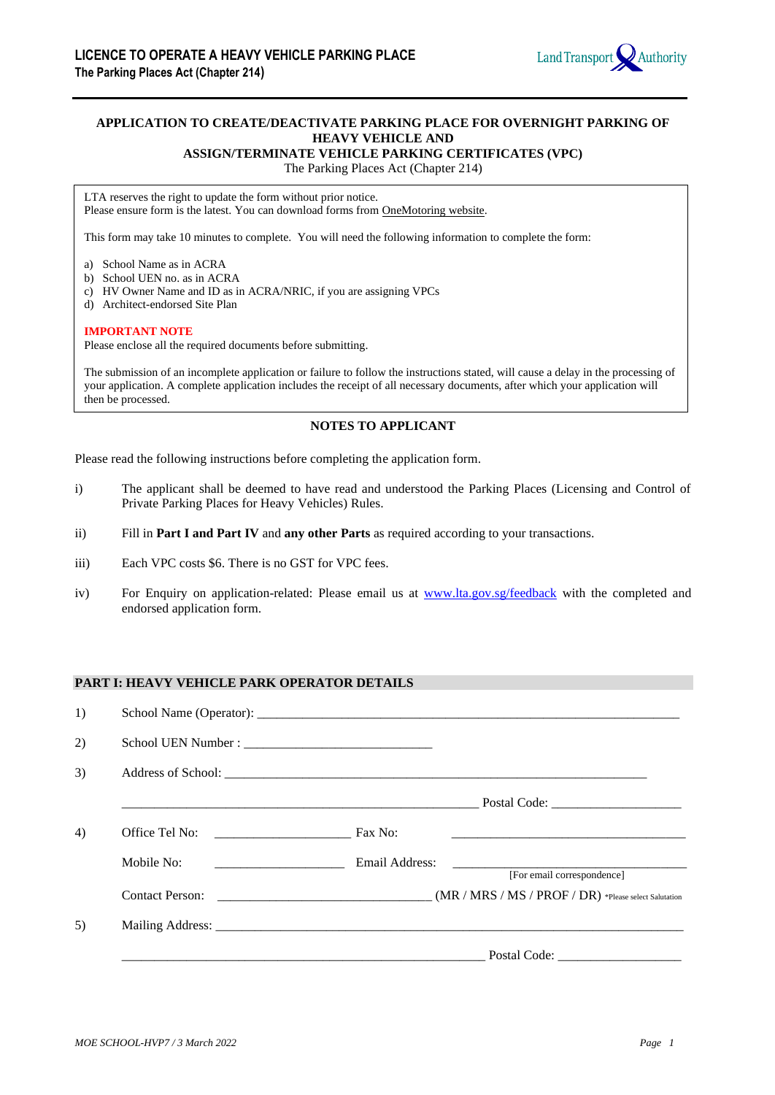

# **APPLICATION TO CREATE/DEACTIVATE PARKING PLACE FOR OVERNIGHT PARKING OF HEAVY VEHICLE AND**

**ASSIGN/TERMINATE VEHICLE PARKING CERTIFICATES (VPC)**

The Parking Places Act (Chapter 214)

LTA reserves the right to update the form without prior notice. Please ensure form is the latest. You can download forms from OneMotoring website.

This form may take 10 minutes to complete. You will need the following information to complete the form:

- a) School Name as in ACRA
- b) School UEN no. as in ACRA
- c) HV Owner Name and ID as in ACRA/NRIC, if you are assigning VPCs
- d) Architect-endorsed Site Plan

#### **IMPORTANT NOTE**

Please enclose all the required documents before submitting.

The submission of an incomplete application or failure to follow the instructions stated, will cause a delay in the processing of your application. A complete application includes the receipt of all necessary documents, after which your application will then be processed.

# **NOTES TO APPLICANT**

Please read the following instructions before completing the application form.

- i) The applicant shall be deemed to have read and understood the Parking Places (Licensing and Control of Private Parking Places for Heavy Vehicles) Rules.
- ii) Fill in **Part I and Part IV** and **any other Parts** as required according to your transactions.
- iii) Each VPC costs \$6. There is no GST for VPC fees.
- iv) For Enquiry on application-related: Please email us at [www.lta.gov.sg/feedback](http://www.lta.gov.sg/feedback) with the completed and endorsed application form.

### **PART I: HEAVY VEHICLE PARK OPERATOR DETAILS**

| 1) |            |         |                            |
|----|------------|---------|----------------------------|
| 2) |            |         |                            |
| 3) |            |         |                            |
|    |            |         |                            |
| 4) |            | Fax No: |                            |
|    | Mobile No: |         | [For email correspondence] |
|    |            |         |                            |
| 5) |            |         |                            |
|    |            |         |                            |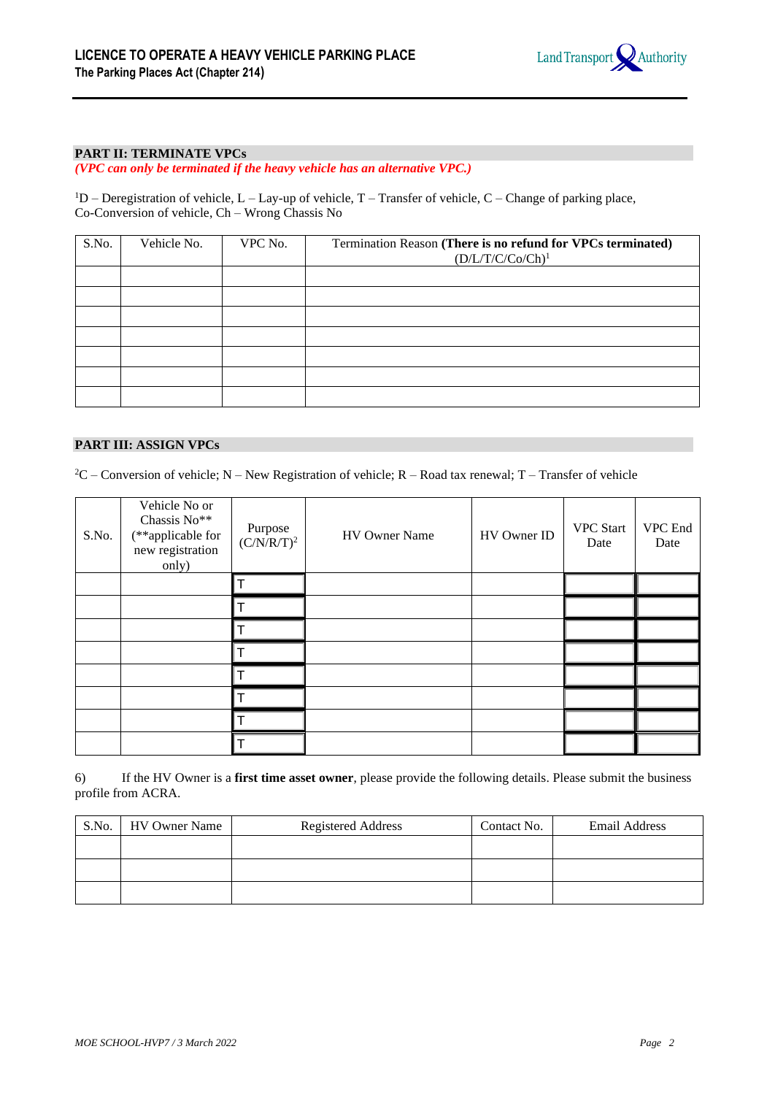

## **PART II: TERMINATE VPCs**

*(VPC can only be terminated if the heavy vehicle has an alternative VPC.)*

 ${}^{1}D$  – Deregistration of vehicle, L – Lay-up of vehicle, T – Transfer of vehicle, C – Change of parking place, Co-Conversion of vehicle, Ch – Wrong Chassis No

| S.No. | Vehicle No. | VPC No. | Termination Reason (There is no refund for VPCs terminated)<br>$(D/L/T/C/Co/Ch)^1$ |
|-------|-------------|---------|------------------------------------------------------------------------------------|
|       |             |         |                                                                                    |
|       |             |         |                                                                                    |
|       |             |         |                                                                                    |
|       |             |         |                                                                                    |
|       |             |         |                                                                                    |
|       |             |         |                                                                                    |
|       |             |         |                                                                                    |

#### **PART III: ASSIGN VPCs**

 ${}^{2}C$  – Conversion of vehicle; N – New Registration of vehicle; R – Road tax renewal; T – Transfer of vehicle

| S.No. | Vehicle No or<br>Chassis No**<br>(**applicable for<br>new registration<br>only) | Purpose<br>$(C/N/R/T)^2$ | HV Owner Name | HV Owner ID | <b>VPC</b> Start<br>Date | VPC End<br>Date |
|-------|---------------------------------------------------------------------------------|--------------------------|---------------|-------------|--------------------------|-----------------|
|       |                                                                                 |                          |               |             |                          |                 |
|       |                                                                                 |                          |               |             |                          |                 |
|       |                                                                                 |                          |               |             |                          |                 |
|       |                                                                                 |                          |               |             |                          |                 |
|       |                                                                                 |                          |               |             |                          |                 |
|       |                                                                                 |                          |               |             |                          |                 |
|       |                                                                                 |                          |               |             |                          |                 |
|       |                                                                                 |                          |               |             |                          |                 |

6) If the HV Owner is a **first time asset owner**, please provide the following details. Please submit the business profile from ACRA.

| S.No. | <b>HV</b> Owner Name | <b>Registered Address</b> | Contact No. | Email Address |
|-------|----------------------|---------------------------|-------------|---------------|
|       |                      |                           |             |               |
|       |                      |                           |             |               |
|       |                      |                           |             |               |